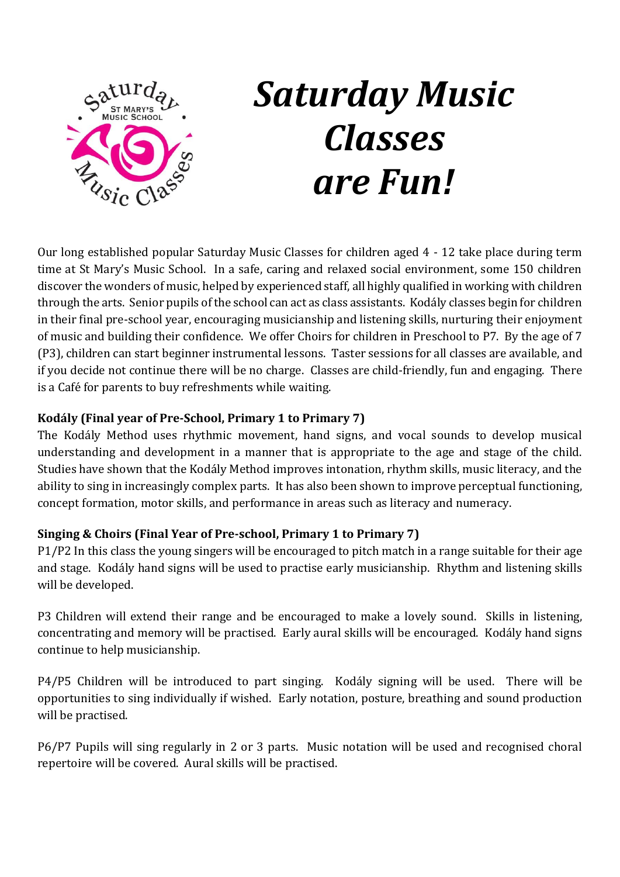

# *Saturday Music Classes are Fun!*

Our long established popular Saturday Music Classes for children aged 4 - 12 take place during term time at St Mary's Music School. In a safe, caring and relaxed social environment, some 150 children discover the wonders of music, helped by experienced staff, all highly qualified in working with children through the arts. Senior pupils of the school can act as class assistants. Kodály classes begin for children in their final pre-school year, encouraging musicianship and listening skills, nurturing their enjoyment of music and building their confidence. We offer Choirs for children in Preschool to P7. By the age of 7 (P3), children can start beginner instrumental lessons. Taster sessions for all classes are available, and if you decide not continue there will be no charge. Classes are child-friendly, fun and engaging. There is a Café for parents to buy refreshments while waiting.

# **Kodály (Final year of Pre-School, Primary 1 to Primary 7)**

The Kodály Method uses rhythmic movement, hand signs, and vocal sounds to develop musical understanding and development in a manner that is appropriate to the age and stage of the child. Studies have shown that the Kodály Method improves intonation, rhythm skills, music literacy, and the ability to sing in increasingly complex parts. It has also been shown to improve perceptual functioning, concept formation, motor skills, and performance in areas such as literacy and numeracy.

# **Singing & Choirs (Final Year of Pre-school, Primary 1 to Primary 7)**

P1/P2 In this class the young singers will be encouraged to pitch match in a range suitable for their age and stage. Kodály hand signs will be used to practise early musicianship. Rhythm and listening skills will be developed.

P3 Children will extend their range and be encouraged to make a lovely sound. Skills in listening, concentrating and memory will be practised. Early aural skills will be encouraged. Kodály hand signs continue to help musicianship.

P4/P5 Children will be introduced to part singing. Kodály signing will be used. There will be opportunities to sing individually if wished. Early notation, posture, breathing and sound production will be practised.

P6/P7 Pupils will sing regularly in 2 or 3 parts. Music notation will be used and recognised choral repertoire will be covered. Aural skills will be practised.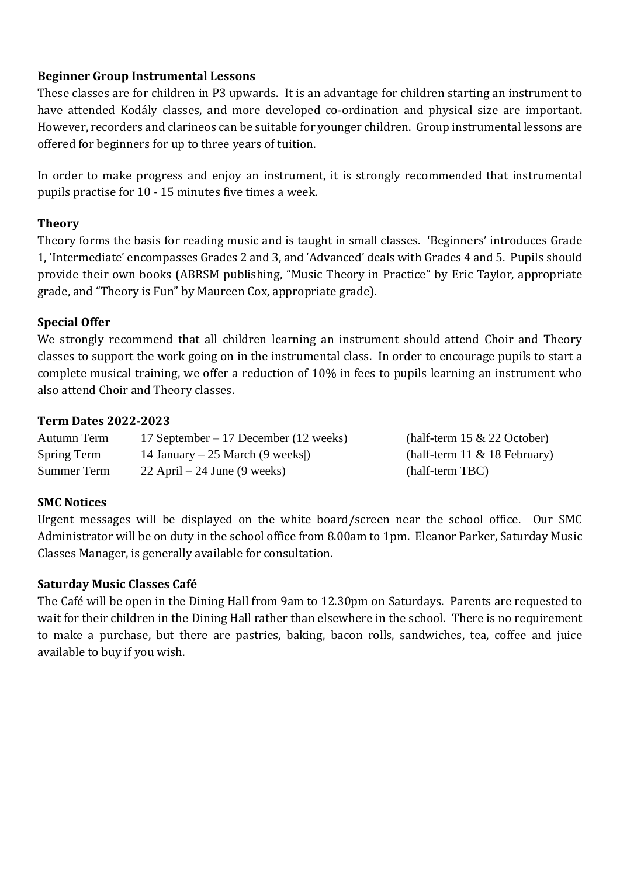#### **Beginner Group Instrumental Lessons**

These classes are for children in P3 upwards. It is an advantage for children starting an instrument to have attended Kodály classes, and more developed co-ordination and physical size are important. However, recorders and clarineos can be suitable for younger children. Group instrumental lessons are offered for beginners for up to three years of tuition.

In order to make progress and enjoy an instrument, it is strongly recommended that instrumental pupils practise for 10 - 15 minutes five times a week.

## **Theory**

Theory forms the basis for reading music and is taught in small classes. 'Beginners' introduces Grade 1, 'Intermediate' encompasses Grades 2 and 3, and 'Advanced' deals with Grades 4 and 5. Pupils should provide their own books (ABRSM publishing, "Music Theory in Practice" by Eric Taylor, appropriate grade, and "Theory is Fun" by Maureen Cox, appropriate grade).

# **Special Offer**

We strongly recommend that all children learning an instrument should attend Choir and Theory classes to support the work going on in the instrumental class. In order to encourage pupils to start a complete musical training, we offer a reduction of 10% in fees to pupils learning an instrument who also attend Choir and Theory classes.

## **Term Dates 2022-2023**

| Autumn Term | 17 September – 17 December (12 weeks) | (half-term $15 \& 22$ October)  |
|-------------|---------------------------------------|---------------------------------|
| Spring Term | 14 January – 25 March (9 weeks)       | (half-term $11 \& 18$ February) |
| Summer Term | $22$ April – 24 June (9 weeks)        | (half-term TBC)                 |

# **SMC Notices**

Urgent messages will be displayed on the white board/screen near the school office. Our SMC Administrator will be on duty in the school office from 8.00am to 1pm. Eleanor Parker, Saturday Music Classes Manager, is generally available for consultation.

#### **Saturday Music Classes Café**

The Café will be open in the Dining Hall from 9am to 12.30pm on Saturdays. Parents are requested to wait for their children in the Dining Hall rather than elsewhere in the school. There is no requirement to make a purchase, but there are pastries, baking, bacon rolls, sandwiches, tea, coffee and juice available to buy if you wish.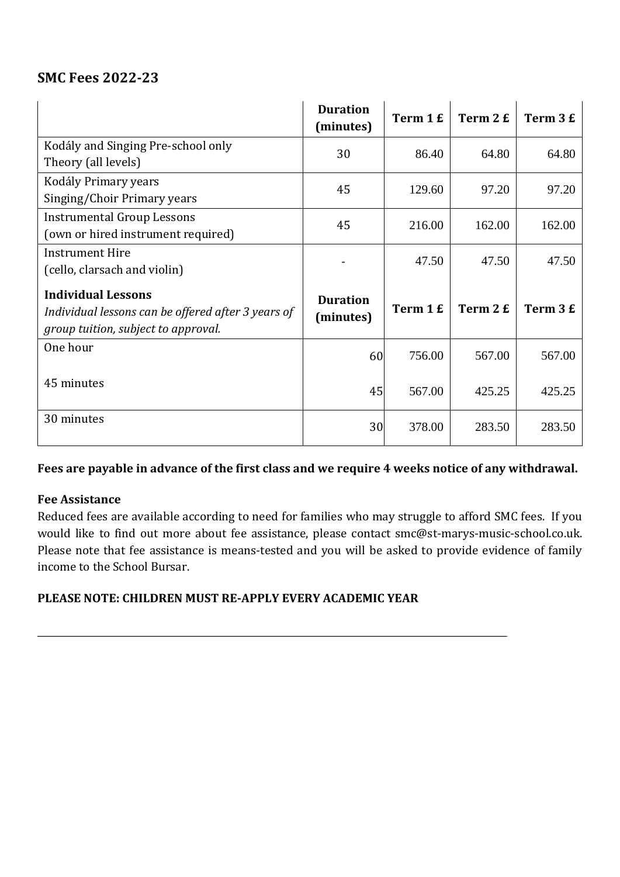# **SMC Fees 2022-23**

|                                                                                                                        | <b>Duration</b><br>(minutes) | Term 1 £ | Term 2 £ | Term 3 £ |
|------------------------------------------------------------------------------------------------------------------------|------------------------------|----------|----------|----------|
| Kodály and Singing Pre-school only<br>Theory (all levels)                                                              | 30                           | 86.40    | 64.80    | 64.80    |
| Kodály Primary years<br>Singing/Choir Primary years                                                                    | 45                           | 129.60   | 97.20    | 97.20    |
| <b>Instrumental Group Lessons</b><br>(own or hired instrument required)                                                | 45                           | 216.00   | 162.00   | 162.00   |
| <b>Instrument Hire</b><br>(cello, clarsach and violin)                                                                 |                              | 47.50    | 47.50    | 47.50    |
| <b>Individual Lessons</b><br>Individual lessons can be offered after 3 years of<br>group tuition, subject to approval. | <b>Duration</b><br>(minutes) | Term 1 £ | Term 2 £ | Term 3 £ |
| One hour                                                                                                               | 60                           | 756.00   | 567.00   | 567.00   |
| 45 minutes                                                                                                             | 45                           | 567.00   | 425.25   | 425.25   |
| 30 minutes                                                                                                             | 30                           | 378.00   | 283.50   | 283.50   |

# **Fees are payable in advance of the first class and we require 4 weeks notice of any withdrawal.**

#### **Fee Assistance**

Reduced fees are available according to need for families who may struggle to afford SMC fees. If you would like to find out more about fee assistance, please contact smc@st-marys-music-school.co.uk. Please note that fee assistance is means-tested and you will be asked to provide evidence of family income to the School Bursar.

#### **PLEASE NOTE: CHILDREN MUST RE-APPLY EVERY ACADEMIC YEAR**